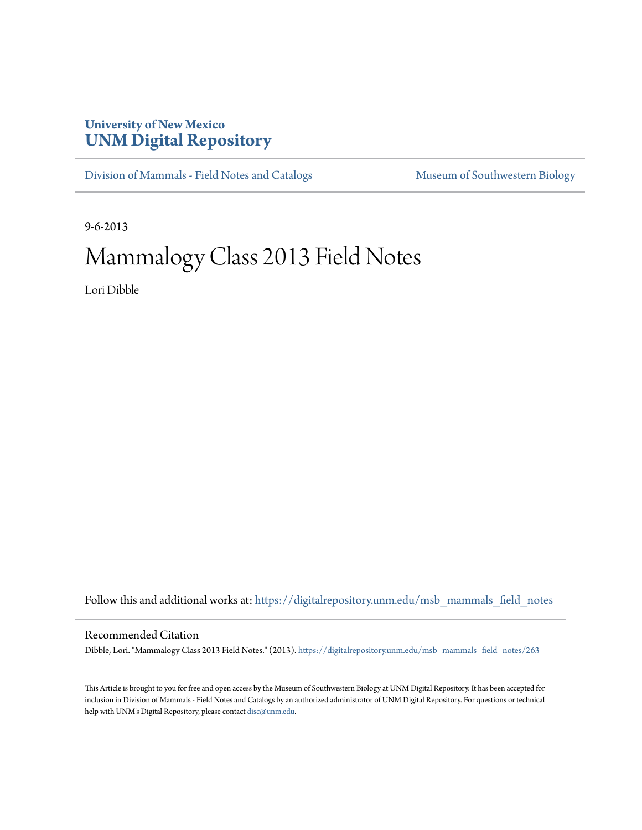## **University of New Mexico [UNM Digital Repository](https://digitalrepository.unm.edu?utm_source=digitalrepository.unm.edu%2Fmsb_mammals_field_notes%2F263&utm_medium=PDF&utm_campaign=PDFCoverPages)**

[Division of Mammals - Field Notes and Catalogs](https://digitalrepository.unm.edu/msb_mammals_field_notes?utm_source=digitalrepository.unm.edu%2Fmsb_mammals_field_notes%2F263&utm_medium=PDF&utm_campaign=PDFCoverPages) [Museum of Southwestern Biology](https://digitalrepository.unm.edu/msb?utm_source=digitalrepository.unm.edu%2Fmsb_mammals_field_notes%2F263&utm_medium=PDF&utm_campaign=PDFCoverPages)

9-6-2013

## Mammalogy Class 2013 Field Notes

Lori Dibble

Follow this and additional works at: [https://digitalrepository.unm.edu/msb\\_mammals\\_field\\_notes](https://digitalrepository.unm.edu/msb_mammals_field_notes?utm_source=digitalrepository.unm.edu%2Fmsb_mammals_field_notes%2F263&utm_medium=PDF&utm_campaign=PDFCoverPages)

## Recommended Citation

Dibble, Lori. "Mammalogy Class 2013 Field Notes." (2013). [https://digitalrepository.unm.edu/msb\\_mammals\\_field\\_notes/263](https://digitalrepository.unm.edu/msb_mammals_field_notes/263?utm_source=digitalrepository.unm.edu%2Fmsb_mammals_field_notes%2F263&utm_medium=PDF&utm_campaign=PDFCoverPages)

This Article is brought to you for free and open access by the Museum of Southwestern Biology at UNM Digital Repository. It has been accepted for inclusion in Division of Mammals - Field Notes and Catalogs by an authorized administrator of UNM Digital Repository. For questions or technical help with UNM's Digital Repository, please contact [disc@unm.edu](mailto:disc@unm.edu).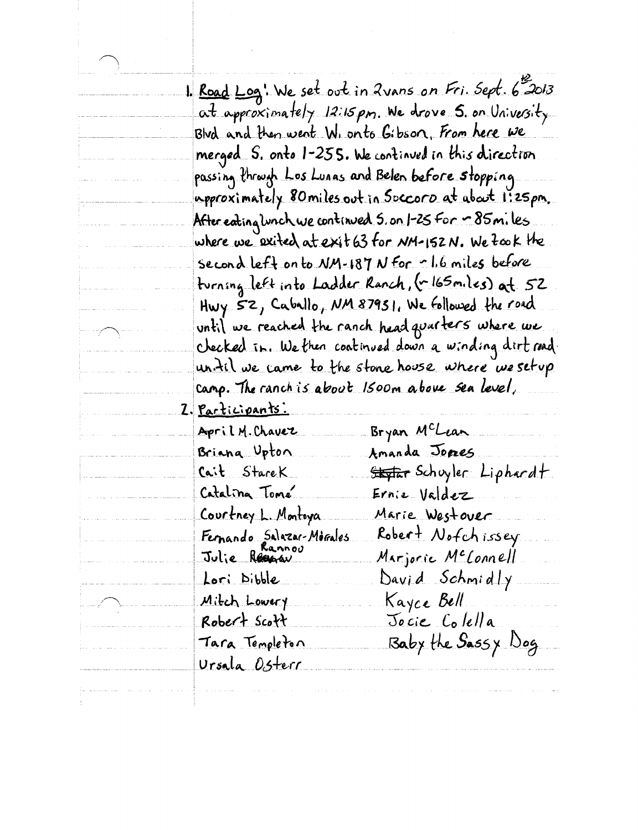|        |                                          | 1. Road Log! We set out in 2 vans on Fri. Sept. 6 2013    |
|--------|------------------------------------------|-----------------------------------------------------------|
|        |                                          | at approximately 12:15 pm. We drove 5. on University      |
|        |                                          | Blvd and then went W. onto Gibson, From here we           |
|        |                                          | merged S. onto 1-255. We continued in this direction      |
|        |                                          | passing through Los Lunas and Belen before stopping       |
|        |                                          | upproximately 80miles.out in Soccoro at about 1:25pm.     |
|        |                                          | After eating lunch we continued 5. on 1-25 For ~ 85m. les |
|        |                                          | where we exited at exit 63 for NM-152N. We fook the       |
|        |                                          | second left on to NM-187 N for r1.6 miles before          |
|        |                                          | turning left into Ladder Ranch, (~165 miles) at 52        |
|        |                                          | Hwy 52, Caballo, NM 87931. We followed the road           |
| $\sim$ |                                          | until we reached the ranch head quarters where we         |
|        |                                          | checked in. We then continued down a winding dirt road.   |
|        |                                          | <u>un. til we came to the stone house where we setup</u>  |
|        |                                          | camp. The ranch is about 1500m above sea level,           |
|        | <u>Z. Participants.</u>                  |                                                           |
|        | April M. Chavez                          | Bryan McLean                                              |
|        | Briana Upton                             | Amanda Jores                                              |
|        | <u>Cait StareK</u>                       | <del>Skyfar</del> Schuyler: Liphardt.                     |
|        | Catalina Tomé                            | Ernie Valdez                                              |
|        | Courtney L. Montoya                      | Marie Westover                                            |
|        | Fernando Salazar-Morales<br>Julie Regnav | Robert Nofchissey                                         |
|        |                                          | Marjorie M <sup>e</sup> lonnell                           |
|        | Lori Dibble                              | David Schmidly                                            |
|        | Mitch Lowery                             | Kayce Bell                                                |
|        | Robert Scott                             | Jocie Colella                                             |
|        | Tara Templeton                           | Baby the Sassy Dog                                        |
|        | Ursala Osterr                            |                                                           |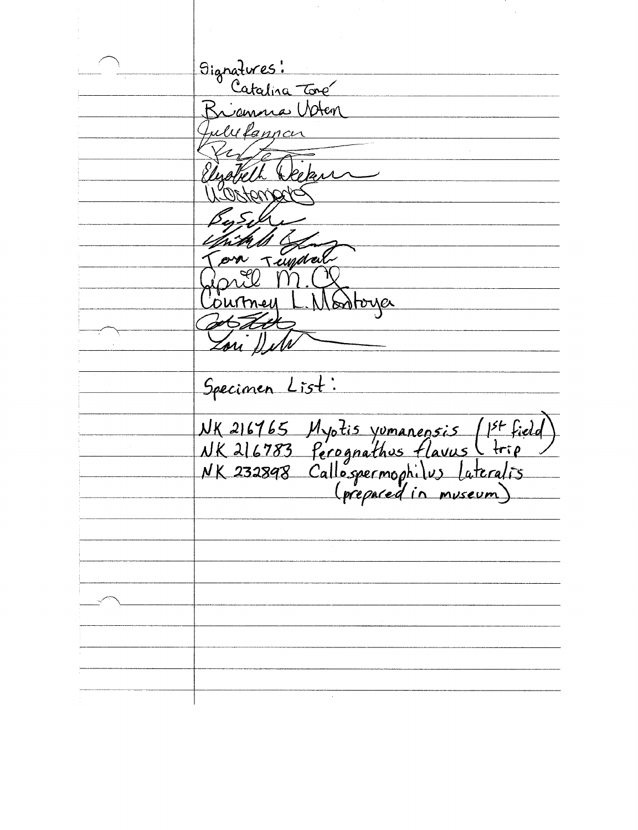Signatures:<br>Catalina Tone anna Voten ulufannar ekun undal Soloyer m Specimen List: NK 216765 Myotis yumanensis (1st field)<br>NK 216783 ferognathus flavus (trip)<br>NK 232898 Callospermophilus lateralis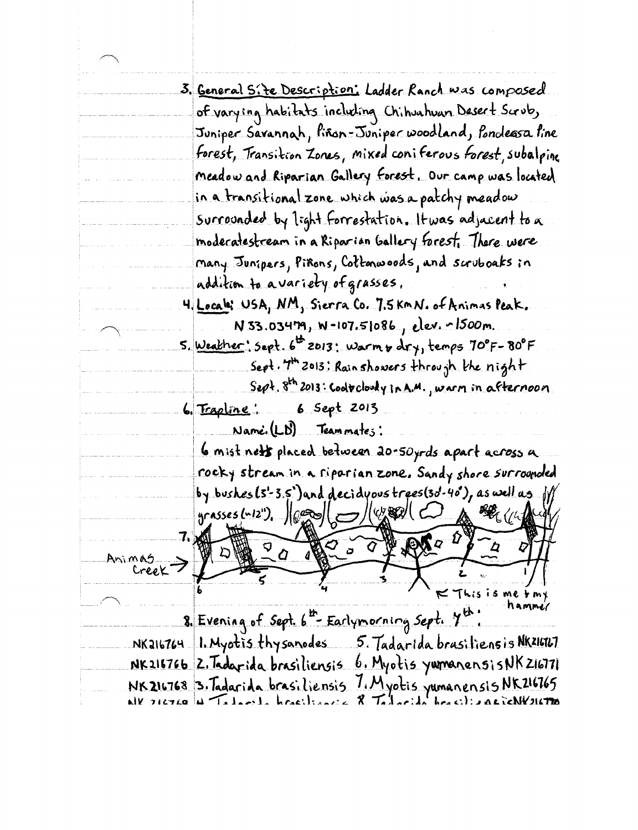|        | 3. <u>General Site Description:</u> Ladder Ranch was composed               |
|--------|-----------------------------------------------------------------------------|
|        | of varying habitats including Chihuahuan Desert Scrub,                      |
|        | Juniper Savannah, Piñon-Juniper woodland, Ponoleasa Pine                    |
|        | <u> forest, Transition Zones, mixed coniferous <i>forest</i>, subalpino</u> |
|        | <u>meadow and Riparian Gallery Forest, Our camp was located</u>             |
|        | <u>in a transitional zone which was a patchy meadow</u>                     |
|        | surrounded by light forrestation. It was adjacent to a                      |
|        | modecatestream in a Riparian Gallery forest. There were                     |
|        | many Junipers, Piñons, Cottonwoods, and scruboaks in                        |
|        | addition to avariety of grasses.                                            |
|        | 4. Locala: USA, NM, Sierra Co. 7.5 kmN. of Animas Peak.                     |
|        | N 33.03479, W-107.51086, elev. 1500m.                                       |
|        | 5. Weather: Sept. 6 2013: Warm + dry, temps 70°F-80°F                       |
|        | Sept. 7th 2013; Rain showers through the night.                             |
|        | Sept. 8th 2013: Cooltcloudy in A.M., warm in afternoon                      |
|        | 6. Trapline: 6 Sept 2013                                                    |
|        | Name. (LD) Teammates:                                                       |
|        | 6 mist nett placed between 20-50yrds apart across a                         |
|        | <u>rocky stream in a riparian zone. Sandy shore surrounded</u>              |
|        | by bushes(3'-3.5')and decidyous trees(3d-40'), as well as jill              |
|        | yrasses (n12").                                                             |
| 7.     |                                                                             |
|        | $\int Q^{-\hat{M}}$<br>$\sigma$ $\widehat{Q}$<br>g<br>רב                    |
| Animas |                                                                             |
|        |                                                                             |
|        |                                                                             |
|        | 8. Evening of Sept. 6th Earlymorning Sept. 7th:                             |
|        | NK216764 1. Myotis thysanodes 5. Tadarida brasiliens is NKZIGIL7            |
|        | NK216766 2. Tadarida brasiliensis 6. Myotis yumanensisNK216771              |
|        | NK216768 3. Tadarida brasiliensis 7. Myotis yumanensis NK216765             |

Ξ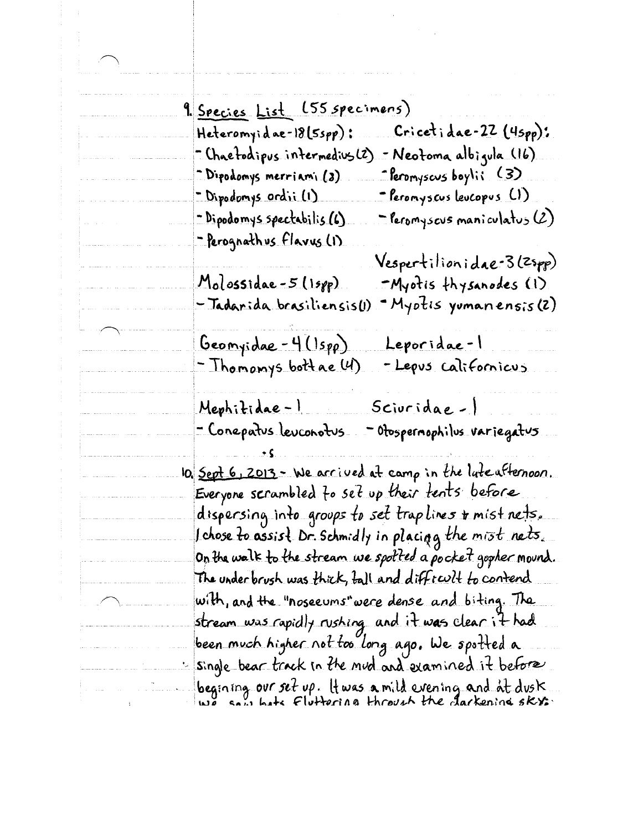| <u>9. Species List (55 specimens)</u>                                      |
|----------------------------------------------------------------------------|
| $Cricetide-22 (4spp):$<br>Heteromyidae-18(5spp):                           |
| - Neotoma albigula (16).<br>- Chaefodipus intermedius(2).                  |
| $\hat{\ }$ feromyscus boylii (3)<br><u> "Dipodomys merriami (2)</u>        |
| - Dipodomys ordii (1)<br><u> = Peronyscus leucopus (LI)</u>                |
| <u>- Dipodomys spectabilis (6)</u><br>$\supset$ Peromyscus maniculatus (2) |
| -Perognathus Flavus (1).                                                   |
| Vespertilionidae-3 (Zspp)                                                  |
| $Molosside-5(15pp)$<br>-Myotis thysanodes (1)                              |
|                                                                            |
| - Tadarida brasiliensis(1)<br>- Myotis yumanensis (2)                      |
| <u>Geomyidae - 4 (Ispp)</u><br>Leporidae-l                                 |
| - Thomomys bottae (4)<br>- Lepus californicus                              |
|                                                                            |
| Mephitidae-1<br>Sciuridae-1<br>للمستقل والمستقل                            |
| - Conepatus leuconotus<br>- Otospernophilus variegatus                     |
|                                                                            |
| IO. <u>Sept 6, 2013 - We arrived</u> at camp in the late afternoon.        |
| Everyone scrambled to set up their tents before                            |
| dispersing into groups to set traplines <b>+</b> mist nets.                |
| I chose to assist Dr. Schmidly in placing the mist nets.                   |
| On the walk to the stream we spotted a pocket gopher mound.                |
| The under brush was thick, ball and difficult to contend                   |
| with, and the "noseeums" were dense and biting. The                        |
| stream was rapidly rushing and it was clear it had                         |
| been much higher not too long ago. We spotted a                            |
|                                                                            |
| single bear track in the mud and examined it before                        |
| begining overset up. It was a mild evening and at dusk.                    |

 $\begin{bmatrix} 1 & 1 \\ 1 & 1 \end{bmatrix}$ 

1<br>1999 - Jane Jacob

للتابيب

الباسيد

 $\sim 10^6$ 

المناوب المستحقق والمناوب المناوب والمتعاقبة والمستحدث والمتعاقبات والمنافر والمستحدث والمستحدث

 $\label{eq:2.1} \frac{1}{\sqrt{2}}\left(\frac{1}{\sqrt{2}}\right)^{2} \left(\frac{1}{\sqrt{2}}\right)^{2} \left(\frac{1}{\sqrt{2}}\right)^{2}$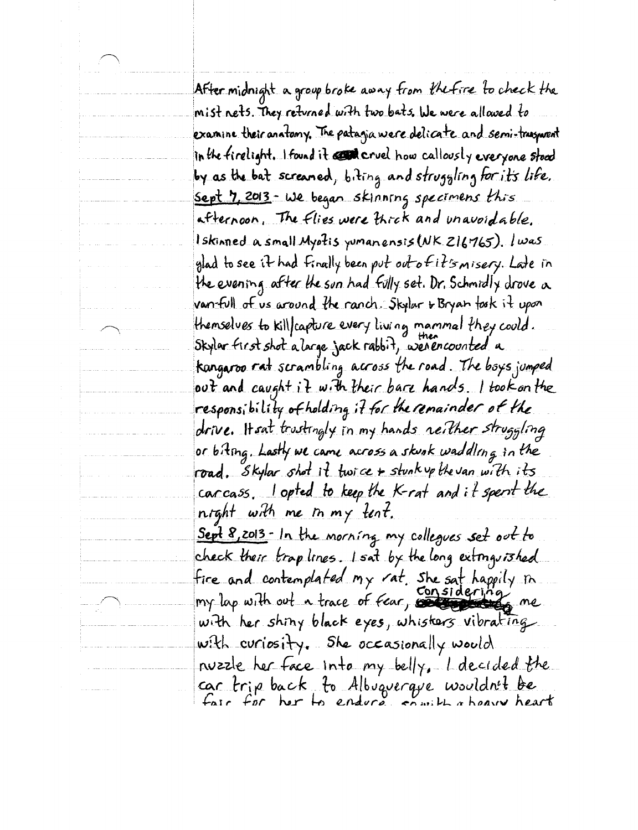After midnight a group broke away from the fire to check the mist nets. They returned with two bats . We were allowed to examine their anatomy. The patagia were delicate and semi-trasporent in the firelight. I found it content cruel how callously everyone stood by as the bat screaned, biting and struggling for its life. Sept 7, 2013 - We began skinning specimens this afternoon. The flies were thick and unavoidable. Iskinned a small Myotis yumanensis (NK 216765). Iwas glad to see it had finally been put out of it's misery. Late in the evening after the sun had fully set. Dr. Schmidly drove a van-full of us around the ranch. Skylar + Bryan fosk it upon themselves to killfcapture every living mammal they could. Skylar first shot a large jack rabbit, werencounted a kangaroo rat scrambling across the road. The boys jumped out and caught it with their bare hands. I took on the responsibility of holding if for the remainder of the drive. It sat trustingly in my hands neither struggling or biting. Lastly we came across a skunk waddling in the road. Skylar shot it twice + stunk up the van with its carcass. I opted to keep the K-rat and it spent the night with me in my tent. Sept 8,2013 - In the morning my collegues set out to check their trap lines. I sat by the long extraguished fire and contemplated my rat. She sat happily in<br>my lap with out a trace of *fear*, considering me. with her shing black eyes, whisters vibrating with curiosity. She occasionally would nuzzle her face into my belly. L decided the car trip back to Albuquerque wouldn't be<br>fair for her to endure comit a heavy heart